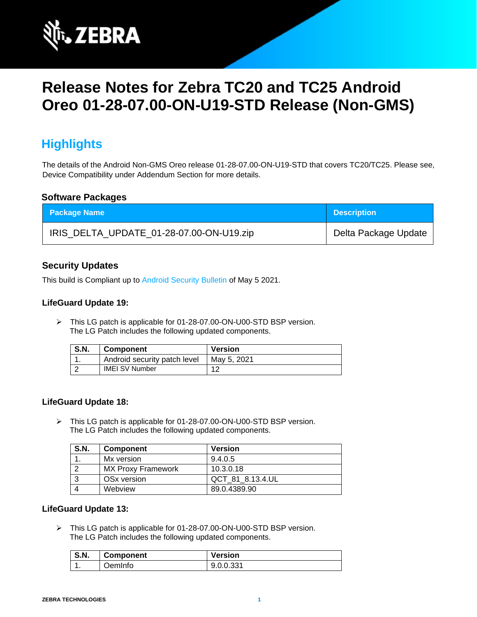

# **Release Notes for Zebra TC20 and TC25 Android Oreo 01-28-07.00-ON-U19-STD Release (Non-GMS)**

## **Highlights**

The details of the Android Non-GMS Oreo release 01-28-07.00-ON-U19-STD that covers TC20/TC25. Please see, Device Compatibility under Addendum Section for more details.

### **Software Packages**

| <b>Package Name</b>                      | <b>Description</b>   |
|------------------------------------------|----------------------|
| IRIS_DELTA_UPDATE_01-28-07.00-ON-U19.zip | Delta Package Update |

## **Security Updates**

This build is Compliant up to [Android Security Bulletin](https://source.android.com/security/bulletin/) of May 5 2021.

#### **LifeGuard Update 19:**

➢ This LG patch is applicable for 01-28-07.00-ON-U00-STD BSP version. The LG Patch includes the following updated components.

| <b>S.N.</b> | <b>Component</b>             | <b>Version</b> |
|-------------|------------------------------|----------------|
|             | Android security patch level | Mav 5, 2021    |
|             | <b>IMEI SV Number</b>        | 10             |

#### **LifeGuard Update 18:**

➢ This LG patch is applicable for 01-28-07.00-ON-U00-STD BSP version. The LG Patch includes the following updated components.

| <b>S.N.</b> | <b>Component</b>          | <b>Version</b>   |
|-------------|---------------------------|------------------|
|             | Mx version                | 9.4.0.5          |
|             | <b>MX Proxy Framework</b> | 10.3.0.18        |
| $\cdot$ 3   | OSx version               | QCT 81 8.13.4.UL |
|             | Webview                   | 89.0.4389.90     |

#### **LifeGuard Update 13:**

➢ This LG patch is applicable for 01-28-07.00-ON-U00-STD BSP version. The LG Patch includes the following updated components.

| <b>S.N.</b> | <b>Component</b> | <b>Version</b> |
|-------------|------------------|----------------|
|             | <b>OemInfo</b>   | 9.0.0.331      |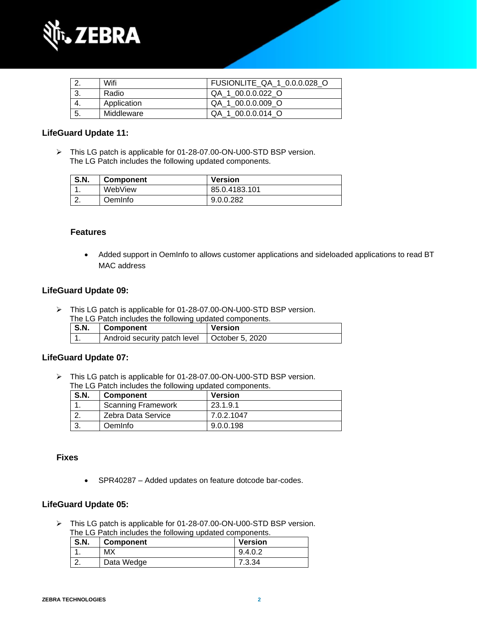

|     | Wifi        | FUSIONLITE QA 1 0.0.0.028 O |
|-----|-------------|-----------------------------|
|     | Radio       | QA 1 00.0.0.022 O           |
|     | Application | QA 1 00.0.0.009 O           |
| -5. | Middleware  | QA 1 00.0.0.014 O           |

#### **LifeGuard Update 11:**

➢ This LG patch is applicable for 01-28-07.00-ON-U00-STD BSP version. The LG Patch includes the following updated components.

| <b>S.N.</b> | <b>Component</b> | <b>Version</b> |
|-------------|------------------|----------------|
|             | WebView          | 85.0.4183.101  |
| <u>.</u>    | DemInfo          | 9.0.0.282      |

#### **Features**

• Added support in OemInfo to allows customer applications and sideloaded applications to read BT MAC address

#### **LifeGuard Update 09:**

➢ This LG patch is applicable for 01-28-07.00-ON-U00-STD BSP version.

| <b>S.N.</b> | Component                    | Version                 |
|-------------|------------------------------|-------------------------|
|             | Android security patch level | $\vert$ October 5, 2020 |

#### **LifeGuard Update 07:**

➢ This LG patch is applicable for 01-28-07.00-ON-U00-STD BSP version. The LG Patch includes the following updated components.

| <b>S.N.</b> | <b>Component</b>          | <b>Version</b> |
|-------------|---------------------------|----------------|
|             | <b>Scanning Framework</b> | 23.1.9.1       |
|             | Zebra Data Service        | 7.0.2.1047     |
|             | <b>Oemlnfo</b>            | 9.0.0.198      |

#### **Fixes**

• SPR40287 – Added updates on feature dotcode bar-codes.

#### **LifeGuard Update 05:**

➢ This LG patch is applicable for 01-28-07.00-ON-U00-STD BSP version. The LG Patch includes the following updated components.

| S.N.     | <b>Component</b> | <b>Version</b> |
|----------|------------------|----------------|
| . .      | MX               | 9.4.0.2        |
| <u>.</u> | Data Wedge       | 7.3.34         |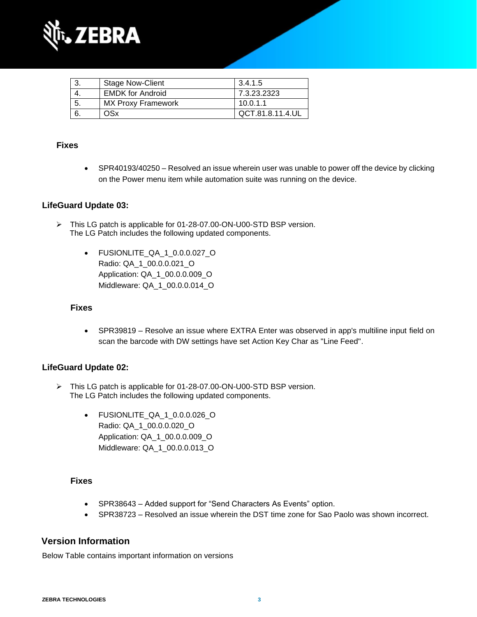

|     | <b>Stage Now-Client</b>   | 3.4.1.5          |
|-----|---------------------------|------------------|
|     | <b>EMDK</b> for Android   | 7.3.23.2323      |
| -5. | <b>MX Proxy Framework</b> | 10.0.1.1         |
|     | OSx                       | QCT.81.8.11.4.UL |

## **Fixes**

• SPR40193/40250 – Resolved an issue wherein user was unable to power off the device by clicking on the Power menu item while automation suite was running on the device.

## **LifeGuard Update 03:**

- ➢ This LG patch is applicable for 01-28-07.00-ON-U00-STD BSP version. The LG Patch includes the following updated components.
	- FUSIONLITE\_QA\_1\_0.0.0.027\_O Radio: QA\_1\_00.0.0.021\_O Application: QA\_1\_00.0.0.009\_O Middleware: QA\_1\_00.0.0.014\_O

#### **Fixes**

• SPR39819 – Resolve an issue where EXTRA Enter was observed in app's multiline input field on scan the barcode with DW settings have set Action Key Char as "Line Feed".

#### **LifeGuard Update 02:**

- ➢ This LG patch is applicable for 01-28-07.00-ON-U00-STD BSP version. The LG Patch includes the following updated components.
	- FUSIONLITE\_QA\_1\_0.0.0.026\_O Radio: QA\_1\_00.0.0.020\_O Application: QA\_1\_00.0.0.009\_O Middleware: QA\_1\_00.0.0.013\_O

### **Fixes**

- SPR38643 Added support for "Send Characters As Events" option.
- SPR38723 Resolved an issue wherein the DST time zone for Sao Paolo was shown incorrect.

## **Version Information**

Below Table contains important information on versions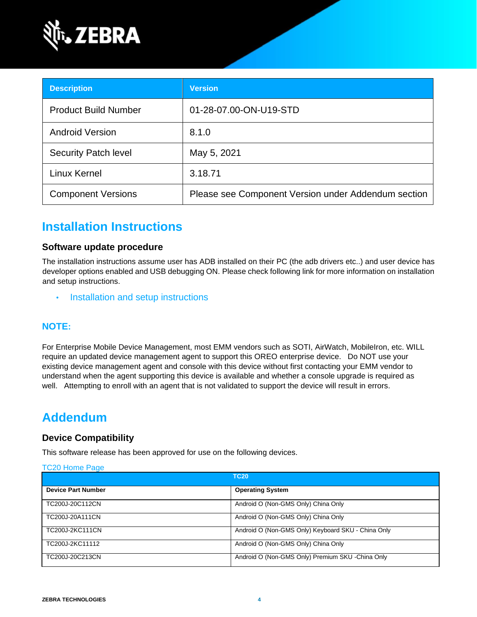

| <b>Description</b>          | <b>Version</b>                                      |
|-----------------------------|-----------------------------------------------------|
| <b>Product Build Number</b> | 01-28-07.00-ON-U19-STD                              |
| <b>Android Version</b>      | 8.1.0                                               |
| <b>Security Patch level</b> | May 5, 2021                                         |
| Linux Kernel                | 3.18.71                                             |
| <b>Component Versions</b>   | Please see Component Version under Addendum section |

## **Installation Instructions**

### **Software update procedure**

The installation instructions assume user has ADB installed on their PC (the adb drivers etc..) and user device has developer options enabled and USB debugging ON. Please check following link for more information on installation and setup instructions.

• [Installation and setup instructions](https://www.zebra.com/content/dam/zebra_new_ia/en-us/software/operating-system/tc20-operating-system/Android-O-OS-Update-TC20-and-TC25-NGMS.pdf)

## **NOTE:**

For Enterprise Mobile Device Management, most EMM vendors such as SOTI, AirWatch, MobileIron, etc. WILL require an updated device management agent to support this OREO enterprise device. Do NOT use your existing device management agent and console with this device without first contacting your EMM vendor to understand when the agent supporting this device is available and whether a console upgrade is required as well. Attempting to enroll with an agent that is not validated to support the device will result in errors.

## **Addendum**

### **Device Compatibility**

This software release has been approved for use on the following devices.

#### [TC20 Home Page](https://www.zebra.com/us/en/support-downloads/software/operating-system/tc20-operating-system-non-gms.html)

|                           | <b>TC20</b>                                        |
|---------------------------|----------------------------------------------------|
| <b>Device Part Number</b> | <b>Operating System</b>                            |
| TC200J-20C112CN           | Android O (Non-GMS Only) China Only                |
| TC200J-20A111CN           | Android O (Non-GMS Only) China Only                |
| TC200J-2KC111CN           | Android O (Non-GMS Only) Keyboard SKU - China Only |
| TC200J-2KC11112           | Android O (Non-GMS Only) China Only                |
| TC200J-20C213CN           | Android O (Non-GMS Only) Premium SKU -China Only   |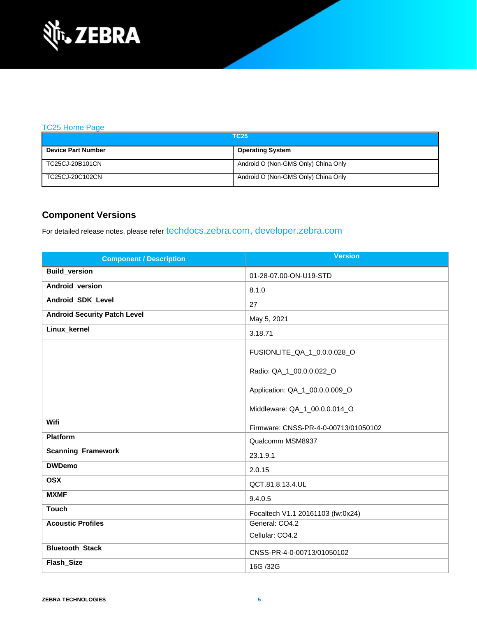

#### [TC25 Home Page](https://www.zebra.com/us/en/support-downloads/software/operating-system/tc25-operating-system-non-gms.html)

| <b>TC25</b>               |                                     |  |
|---------------------------|-------------------------------------|--|
| <b>Device Part Number</b> | <b>Operating System</b>             |  |
| TC25CJ-20B101CN           | Android O (Non-GMS Only) China Only |  |
| TC25CJ-20C102CN           | Android O (Non-GMS Only) China Only |  |

## **Component Versions**

For detailed release notes, please refer [techdocs.zebra.com,](https://techdocs.zebra.com/) [developer.zebra.com](https://developer.zebra.com/)

| <b>Component / Description</b>      | <b>Version</b>                         |
|-------------------------------------|----------------------------------------|
| <b>Build_version</b>                | 01-28-07.00-ON-U19-STD                 |
| Android_version                     | 8.1.0                                  |
| Android_SDK_Level                   | 27                                     |
| <b>Android Security Patch Level</b> | May 5, 2021                            |
| Linux_kernel                        | 3.18.71                                |
|                                     | FUSIONLITE_QA_1_0.0.0.028_O            |
|                                     | Radio: QA_1_00.0.0.022_O               |
|                                     | Application: QA_1_00.0.0.009_O         |
|                                     | Middleware: QA_1_00.0.0.014_O          |
| Wifi                                | Firmware: CNSS-PR-4-0-00713/01050102   |
| <b>Platform</b>                     | Qualcomm MSM8937                       |
| <b>Scanning_Framework</b>           | 23.1.9.1                               |
| <b>DWDemo</b>                       | 2.0.15                                 |
| <b>OSX</b>                          | QCT.81.8.13.4.UL                       |
| <b>MXMF</b>                         | 9.4.0.5                                |
| <b>Touch</b>                        | Focaltech V1.1 20161103 (fw:0x24)      |
| <b>Acoustic Profiles</b>            | General: CO4.2<br>Cellular: CO4.2      |
| <b>Bluetooth_Stack</b>              |                                        |
| Flash_Size                          | CNSS-PR-4-0-00713/01050102<br>16G /32G |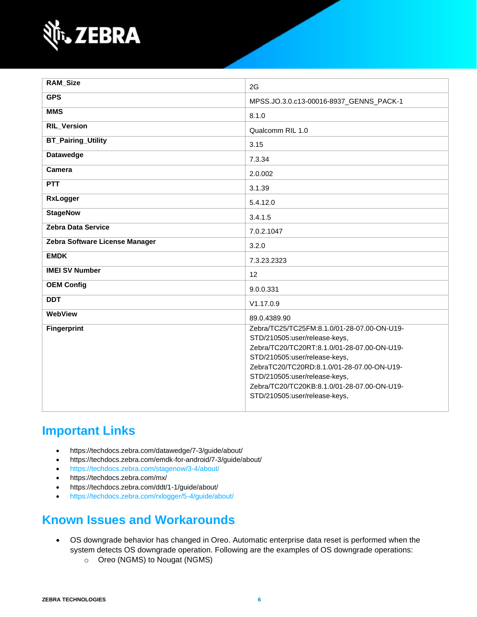

| <b>RAM_Size</b>                | 2G                                                                                                                                                                                                                                                                                                                          |
|--------------------------------|-----------------------------------------------------------------------------------------------------------------------------------------------------------------------------------------------------------------------------------------------------------------------------------------------------------------------------|
| <b>GPS</b>                     | MPSS.JO.3.0.c13-00016-8937_GENNS_PACK-1                                                                                                                                                                                                                                                                                     |
| <b>MMS</b>                     | 8.1.0                                                                                                                                                                                                                                                                                                                       |
| <b>RIL_Version</b>             | Qualcomm RIL 1.0                                                                                                                                                                                                                                                                                                            |
| <b>BT_Pairing_Utility</b>      | 3.15                                                                                                                                                                                                                                                                                                                        |
| <b>Datawedge</b>               | 7.3.34                                                                                                                                                                                                                                                                                                                      |
| <b>Camera</b>                  | 2.0.002                                                                                                                                                                                                                                                                                                                     |
| PTT                            | 3.1.39                                                                                                                                                                                                                                                                                                                      |
| <b>RxLogger</b>                | 5.4.12.0                                                                                                                                                                                                                                                                                                                    |
| <b>StageNow</b>                | 3.4.1.5                                                                                                                                                                                                                                                                                                                     |
| <b>Zebra Data Service</b>      | 7.0.2.1047                                                                                                                                                                                                                                                                                                                  |
| Zebra Software License Manager | 3.2.0                                                                                                                                                                                                                                                                                                                       |
| <b>EMDK</b>                    | 7.3.23.2323                                                                                                                                                                                                                                                                                                                 |
| <b>IMEI SV Number</b>          | 12                                                                                                                                                                                                                                                                                                                          |
| <b>OEM Config</b>              | 9.0.0.331                                                                                                                                                                                                                                                                                                                   |
| <b>DDT</b>                     | V1.17.0.9                                                                                                                                                                                                                                                                                                                   |
| WebView                        | 89.0.4389.90                                                                                                                                                                                                                                                                                                                |
| <b>Fingerprint</b>             | Zebra/TC25/TC25FM:8.1.0/01-28-07.00-ON-U19-<br>STD/210505:user/release-keys,<br>Zebra/TC20/TC20RT:8.1.0/01-28-07.00-ON-U19-<br>STD/210505:user/release-keys,<br>ZebraTC20/TC20RD:8.1.0/01-28-07.00-ON-U19-<br>STD/210505:user/release-keys,<br>Zebra/TC20/TC20KB:8.1.0/01-28-07.00-ON-U19-<br>STD/210505:user/release-keys, |

## **Important Links**

- <https://techdocs.zebra.com/datawedge/7-3/guide/about/>
- <https://techdocs.zebra.com/emdk-for-android/7-3/guide/about/>
- <https://techdocs.zebra.com/stagenow/3-4/about/>
- <https://techdocs.zebra.com/mx/>
- <https://techdocs.zebra.com/ddt/1-1/guide/about/>
- <https://techdocs.zebra.com/rxlogger/5-4/guide/about/>

## **Known Issues and Workarounds**

- OS downgrade behavior has changed in Oreo. Automatic enterprise data reset is performed when the system detects OS downgrade operation. Following are the examples of OS downgrade operations:
	- o Oreo (NGMS) to Nougat (NGMS)